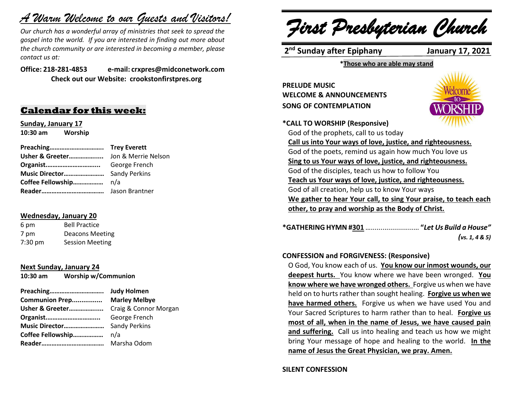# *A Warm Welcome to our Guests and Visitors!*

*Our church has a wonderful array of ministries that seek to spread the gospel into the world. If you are interested in finding out more about the church community or are interested in becoming a member, please contact us at:*

**Office: 218-281-4853 e-mail: crxpres@midconetwork.com Check out our Website: crookstonfirstpres.org**

### **Calendar for this week:**

**Sunday, January 17 10:30 am Worship** 

| Preaching Trey Everett |  |
|------------------------|--|
|                        |  |
|                        |  |
|                        |  |
|                        |  |
|                        |  |

#### **Wednesday, January 20**

| 6 pm              | <b>Bell Practice</b>   |
|-------------------|------------------------|
| 7 pm              | <b>Deacons Meeting</b> |
| $7:30 \text{ pm}$ | <b>Session Meeting</b> |

#### **Next Sunday, January 24**

**10:30 am Worship w/Communion**

| Preaching                             | <b>Judy Holmen</b> |
|---------------------------------------|--------------------|
| <b>Communion Prep Marley Melbye</b>   |                    |
| Usher & Greeter Craig & Connor Morgan |                    |
|                                       |                    |
|                                       |                    |
|                                       |                    |
|                                       |                    |

*First Presbyterian Church*

**2 nd Sunday after Epiphany January 17, 2021**

**\*Those who are able may stand**

**PRELUDE MUSIC WELCOME & ANNOUNCEMENTS SONG OF CONTEMPLATION**

**\*CALL TO WORSHIP (Responsive)** 



God of the prophets, call to us today **Call us into Your ways of love, justice, and righteousness.** God of the poets, remind us again how much You love us **Sing to us Your ways of love, justice, and righteousness.** God of the disciples, teach us how to follow You **Teach us Your ways of love, justice, and righteousness.** God of all creation, help us to know Your ways **We gather to hear Your call, to sing Your praise, to teach each other, to pray and worship as the Body of Christ.**

| *GATHERING HYMN #301  "Let Us Build a House" |                |
|----------------------------------------------|----------------|
|                                              | (vs. 1, 4 & 5) |

#### **CONFESSION and FORGIVENESS: (Responsive)**

O God, You know each of us. **You know our inmost wounds, our deepest hurts.** You know where we have been wronged. **You know where we have wronged others.** Forgive us when we have held on to hurts rather than sought healing. **Forgive us when we have harmed others.** Forgive us when we have used You and Your Sacred Scriptures to harm rather than to heal. **Forgive us most of all, when in the name of Jesus, we have caused pain and suffering.** Call us into healing and teach us how we might bring Your message of hope and healing to the world. **In the name of Jesus the Great Physician, we pray. Amen.**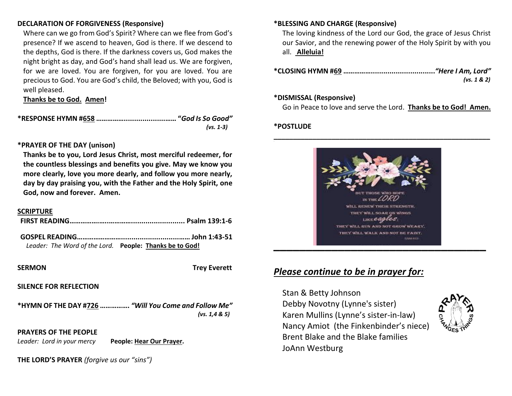#### **DECLARATION OF FORGIVENESS (Responsive)**

Where can we go from God's Spirit? Where can we flee from God's presence? If we ascend to heaven, God is there. If we descend to the depths, God is there. If the darkness covers us, God makes the night bright as day, and God's hand shall lead us. We are forgiven, for we are loved. You are forgiven, for you are loved. You are precious to God. You are God's child, the Beloved; with you, God is well pleased.

**Thanks be to God. Amen!**

**\*RESPONSE HYMN #658 ……………....................…… "***God Is So Good" (vs. 1-3)*

#### **\*PRAYER OF THE DAY (unison)**

**Thanks be to you, Lord Jesus Christ, most merciful redeemer, for the countless blessings and benefits you give. May we know you more clearly, love you more dearly, and follow you more nearly, day by day praising you, with the Father and the Holy Spirit, one God, now and forever. Amen.**

#### **SCRIPTURE**

| Leader: The Word of the Lord. People: Thanks be to God! |  |
|---------------------------------------------------------|--|

**SERMON Trey Everett**

#### **SILENCE FOR REFLECTION**

**\*HYMN OF THE DAY #726 …………….** *"Will You Come and Follow Me" (vs. 1,4 & 5)*

**PRAYERS OF THE PEOPLE**

*Leader: Lord in your mercy* **People: Hear Our Prayer.**

**THE LORD'S PRAYER** *(forgive us our "sins")* 

#### **\*BLESSING AND CHARGE (Responsive)**

The loving kindness of the Lord our God, the grace of Jesus Christ our Savior, and the renewing power of the Holy Spirit by with you all. **Alleluia!**

| (vs. 1 & 2) |
|-------------|

#### **\*DISMISSAL (Responsive)**

Go in Peace to love and serve the Lord. **Thanks be to God! Amen.**

#### **\*POSTLUDE**



### *Please continue to be in prayer for:*

Stan & Betty Johnson Debby Novotny (Lynne's sister) Karen Mullins (Lynne's sister-in-law) Nancy Amiot (the Finkenbinder's niece) Brent Blake and the Blake families JoAnn Westburg

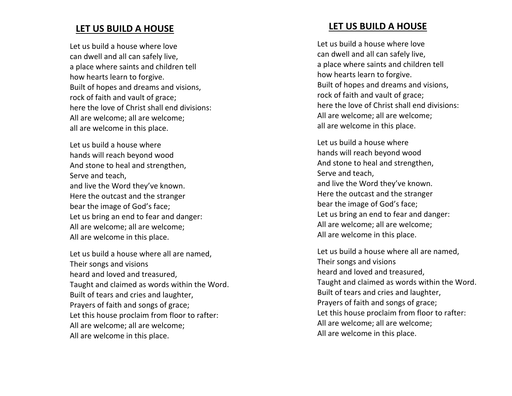### **LET US BUILD A HOUSE**

Let us build a house where love can dwell and all can safely live, a place where saints and children tell how hearts learn to forgive. Built of hopes and dreams and visions, rock of faith and vault of grace; here the love of Christ shall end divisions: All are welcome; all are welcome; all are welcome in this place.

Let us build a house where hands will reach beyond wood And stone to heal and strengthen, Serve and teach, and live the Word they 've known. Here the outcast and the stranger bear the image of God 's face; Let us bring an end to fear and danger: All are welcome; all are welcome; All are welcome in this place.

Let us build a house where all are name d , Their songs and visions heard and loved and treasured, Taught and claimed as words within the Word. Built of tears and cries and laughter, Prayers of faith and songs of grace; Let this house proclaim from floor to rafter: All are welcome; all are welcome; All are welcome in this place.

### **LET US BUILD A HOUSE**

Let us build a house where love can dwell and all can safely live, a place where saints and children tell how hearts learn to forgive. Built of hopes and dreams and visions, rock of faith and vault of grace; here the love of Christ shall end divisions: All are welcome; all are welcome; all are welcome in this place.

Let us build a house where hands will reach beyond wood And stone to heal and strengthen, Serve and teach, and live the Word they 've known. Here the outcast and the stranger bear the image of God 's face; Let us bring an end to fear and danger: All are welcome; all are welcome; All are welcome in this place.

Let us build a house where all are name d , Their songs and visions heard and loved and treasured, Taught and claimed as words within the Word. Built of tears and cries and laughter, Prayers of faith and songs of grace; Let this house proclaim from floor to rafter: All are welcome; all are welcome; All are welcome in this place.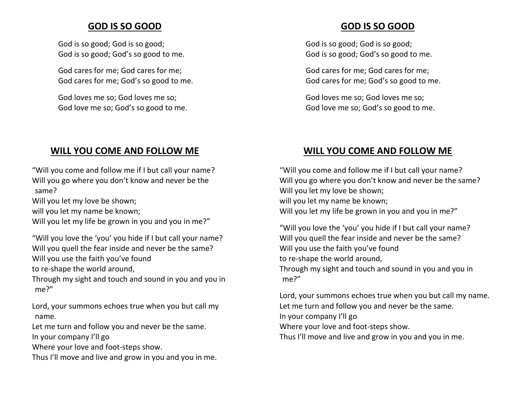### **GOD IS SO GOOD**

God is so good; God is so good; God is so good; God's so good to me.

God cares for me; God cares for me; God cares for me; God's so good to me.

God loves me so; God loves me so; God love me so; God's so good to me.

## **WILL YOU COME AND FOLLOW ME**

"Will you come and follow me if I but call your name? Will you go where you don't know and never be the same?

Will you let my love be shown;

will you let my name be known;

Will you let my life be grown in you and you in me?"

"Will you love the 'you' you hide if I but call your name? Will you quell the fear inside and never be the same? Will you use the faith you've found to re-shape the world around,

Through my sight and touch and sound in you and you in me?"

Lord, your summons echoes true when you but call my name.

Let me turn and follow you and never be the same. In your company I'll go

Where your love and foot-steps show.

Thus I'll move and live and grow in you and you in me.

### **GOD IS SO GOOD**

God is so good; God is so good; God is so good; God's so good to me.

God cares for me; God cares for me; God cares for me; God's so good to me.

God loves me so; God loves me so; God love me so; God's so good to me.

### **WILL YOU COME AND FOLLOW ME**

"Will you come and follow me if I but call your name? Will you go where you don't know and never be the same? Will you let my love be shown; will you let my name be known; Will you let my life be grown in you and you in me?"

"Will you love the 'you' you hide if I but call your name? Will you quell the fear inside and never be the same? Will you use the faith you've found to re-shape the world around, Through my sight and touch and sound in you and you in me?"

Lord, your summons echoes true when you but call my name. Let me turn and follow you and never be the same. In your company I'll go Where your love and foot-steps show.

Thus I'll move and live and grow in you and you in me.